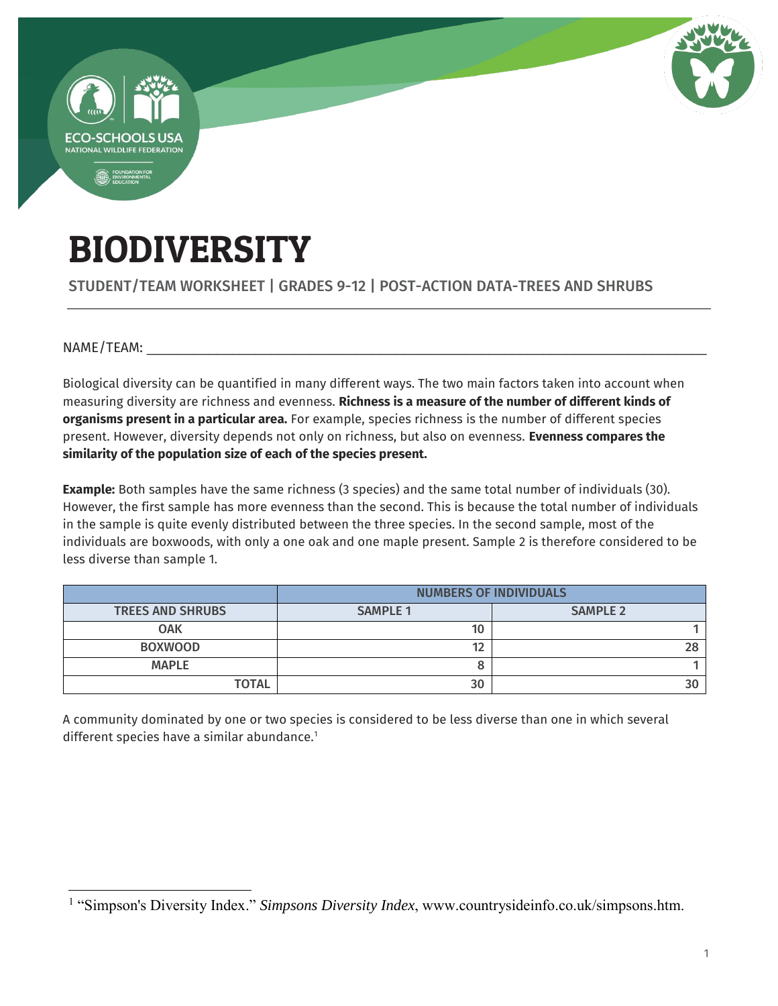

# BIODIVERSITY

STUDENT/TEAM WORKSHEET | GRADES 9-12 | POST-ACTION DATA-TREES AND SHRUBS

NAME/TEAM:

 $\overline{a}$ 

Biological diversity can be quantified in many different ways. The two main factors taken into account when measuring diversity are richness and evenness. **Richness is a measure of the number of different kinds of organisms present in a particular area.** For example, species richness is the number of different species present. However, diversity depends not only on richness, but also on evenness. **Evenness compares the similarity of the population size of each of the species present.**

**Example:** Both samples have the same richness (3 species) and the same total number of individuals (30). However, the first sample has more evenness than the second. This is because the total number of individuals in the sample is quite evenly distributed between the three species. In the second sample, most of the individuals are boxwoods, with only a one oak and one maple present. Sample 2 is therefore considered to be less diverse than sample 1.

|                         | <b>NUMBERS OF INDIVIDUALS</b> |                 |  |  |
|-------------------------|-------------------------------|-----------------|--|--|
| <b>TREES AND SHRUBS</b> | <b>SAMPLE 1</b>               | <b>SAMPLE 2</b> |  |  |
| <b>OAK</b>              | 10                            |                 |  |  |
| <b>BOXWOOD</b>          | 40                            |                 |  |  |
| <b>MAPLE</b>            |                               |                 |  |  |
| <b>TOTAL</b>            | 30                            |                 |  |  |

A community dominated by one or two species is considered to be less diverse than one in which several different species have a similar abundance.<sup>1</sup>

<sup>&</sup>lt;sup>1</sup> "Simpson's Diversity Index." *Simpsons Diversity Index*, www.countrysideinfo.co.uk/simpsons.htm.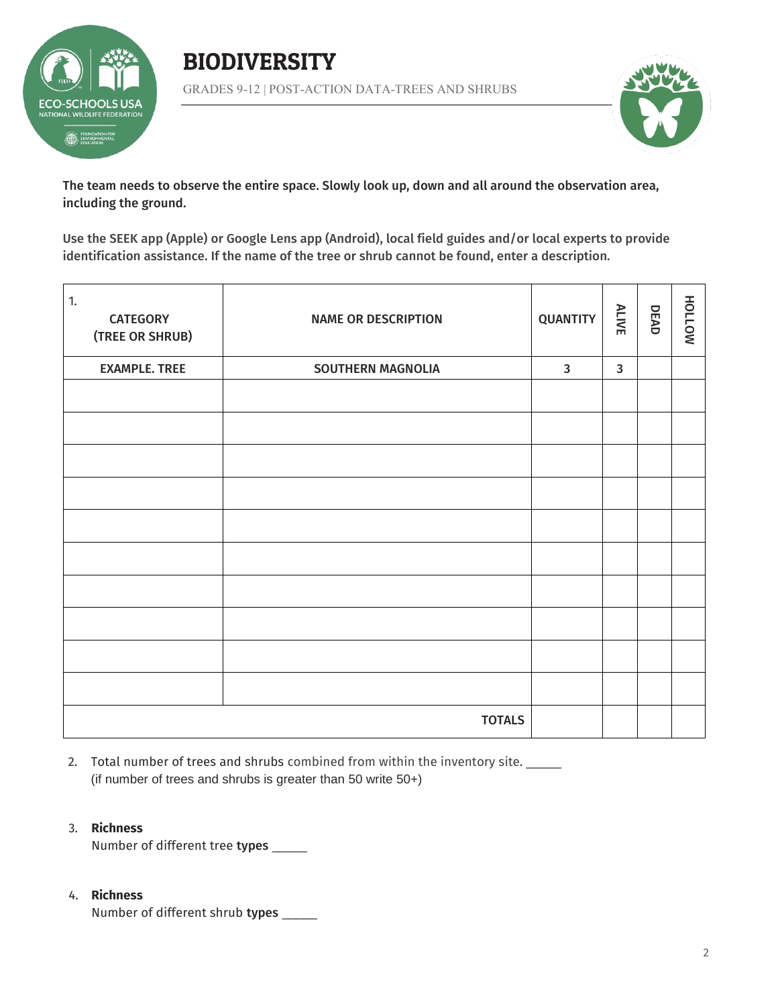





The team needs to observe the entire space. Slowly look up, down and all around the observation area, including the ground.

Use the SEEK app (Apple) or Google Lens app (Android), local field guides and/or local experts to provide identification assistance. If the name of the tree or shrub cannot be found, enter a description.

| 1.<br><b>CATEGORY</b><br>(TREE OR SHRUB) | <b>NAME OR DESCRIPTION</b> | <b>QUANTITY</b> | <b>ALIVE</b> | DEAD | NOTTOH |
|------------------------------------------|----------------------------|-----------------|--------------|------|--------|
| <b>EXAMPLE. TREE</b>                     | <b>SOUTHERN MAGNOLIA</b>   | $\mathbf{3}$    | $\mathbf{3}$ |      |        |
|                                          |                            |                 |              |      |        |
|                                          |                            |                 |              |      |        |
|                                          |                            |                 |              |      |        |
|                                          |                            |                 |              |      |        |
|                                          |                            |                 |              |      |        |
|                                          |                            |                 |              |      |        |
|                                          |                            |                 |              |      |        |
|                                          |                            |                 |              |      |        |
|                                          |                            |                 |              |      |        |
|                                          |                            |                 |              |      |        |
| <b>TOTALS</b>                            |                            |                 |              |      |        |

2. Total number of trees and shrubs combined from within the inventory site. (if number of trees and shrubs is greater than 50 write 50+)

### 3. **Richness**

Number of different tree types \_\_\_\_\_

## 4. **Richness**

Number of different shrub types \_\_\_\_\_